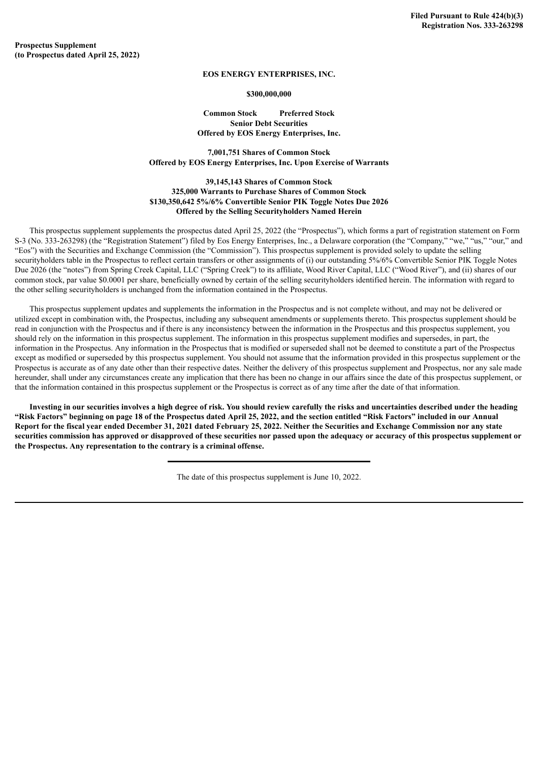**Prospectus Supplement (to Prospectus dated April 25, 2022)**

## **EOS ENERGY ENTERPRISES, INC.**

## **\$300,000,000**

## **Common Stock Preferred Stock Senior Debt Securities Offered by EOS Energy Enterprises, Inc.**

**7,001,751 Shares of Common Stock Offered by EOS Energy Enterprises, Inc. Upon Exercise of Warrants**

## **39,145,143 Shares of Common Stock 325,000 Warrants to Purchase Shares of Common Stock \$130,350,642 5%/6% Convertible Senior PIK Toggle Notes Due 2026 Offered by the Selling Securityholders Named Herein**

This prospectus supplement supplements the prospectus dated April 25, 2022 (the "Prospectus"), which forms a part of registration statement on Form S-3 (No. 333-263298) (the "Registration Statement") filed by Eos Energy Enterprises, Inc., a Delaware corporation (the "Company," "we," "us," "our," and "Eos") with the Securities and Exchange Commission (the "Commission"). This prospectus supplement is provided solely to update the selling securityholders table in the Prospectus to reflect certain transfers or other assignments of (i) our outstanding 5%/6% Convertible Senior PIK Toggle Notes Due 2026 (the "notes") from Spring Creek Capital, LLC ("Spring Creek") to its affiliate, Wood River Capital, LLC ("Wood River"), and (ii) shares of our common stock, par value \$0.0001 per share, beneficially owned by certain of the selling securityholders identified herein. The information with regard to the other selling securityholders is unchanged from the information contained in the Prospectus.

This prospectus supplement updates and supplements the information in the Prospectus and is not complete without, and may not be delivered or utilized except in combination with, the Prospectus, including any subsequent amendments or supplements thereto. This prospectus supplement should be read in conjunction with the Prospectus and if there is any inconsistency between the information in the Prospectus and this prospectus supplement, you should rely on the information in this prospectus supplement. The information in this prospectus supplement modifies and supersedes, in part, the information in the Prospectus. Any information in the Prospectus that is modified or superseded shall not be deemed to constitute a part of the Prospectus except as modified or superseded by this prospectus supplement. You should not assume that the information provided in this prospectus supplement or the Prospectus is accurate as of any date other than their respective dates. Neither the delivery of this prospectus supplement and Prospectus, nor any sale made hereunder, shall under any circumstances create any implication that there has been no change in our affairs since the date of this prospectus supplement, or that the information contained in this prospectus supplement or the Prospectus is correct as of any time after the date of that information.

Investing in our securities involves a high degree of risk. You should review carefully the risks and uncertainties described under the heading "Risk Factors" beginning on page 18 of the Prospectus dated April 25, 2022, and the section entitled "Risk Factors" included in our Annual Report for the fiscal year ended December 31, 2021 dated February 25, 2022. Neither the Securities and Exchange Commission nor any state securities commission has approved or disapproved of these securities nor passed upon the adequacy or accuracy of this prospectus supplement or **the Prospectus. Any representation to the contrary is a criminal offense.**

The date of this prospectus supplement is June 10, 2022.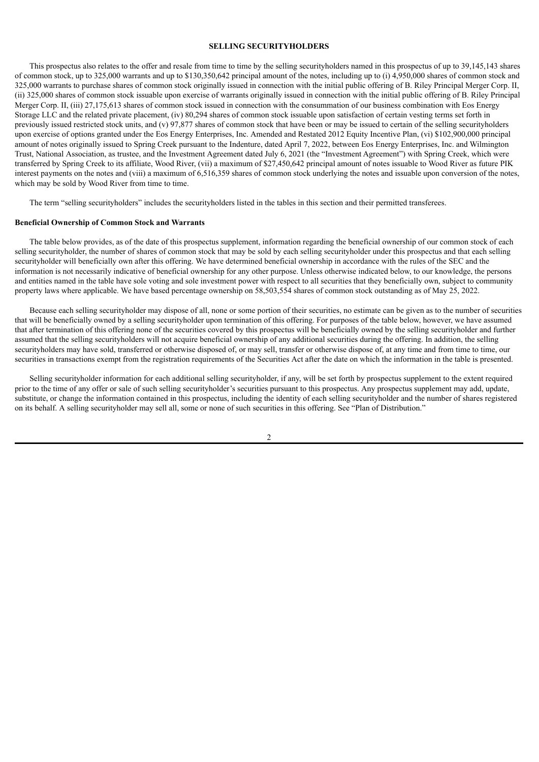#### **SELLING SECURITYHOLDERS**

This prospectus also relates to the offer and resale from time to time by the selling securityholders named in this prospectus of up to 39,145,143 shares of common stock, up to 325,000 warrants and up to \$130,350,642 principal amount of the notes, including up to (i) 4,950,000 shares of common stock and 325,000 warrants to purchase shares of common stock originally issued in connection with the initial public offering of B. Riley Principal Merger Corp. II, (ii) 325,000 shares of common stock issuable upon exercise of warrants originally issued in connection with the initial public offering of B. Riley Principal Merger Corp. II, (iii) 27,175,613 shares of common stock issued in connection with the consummation of our business combination with Eos Energy Storage LLC and the related private placement, (iv) 80,294 shares of common stock issuable upon satisfaction of certain vesting terms set forth in previously issued restricted stock units, and (v) 97,877 shares of common stock that have been or may be issued to certain of the selling securityholders upon exercise of options granted under the Eos Energy Enterprises, Inc. Amended and Restated 2012 Equity Incentive Plan, (vi) \$102,900,000 principal amount of notes originally issued to Spring Creek pursuant to the Indenture, dated April 7, 2022, between Eos Energy Enterprises, Inc. and Wilmington Trust, National Association, as trustee, and the Investment Agreement dated July 6, 2021 (the "Investment Agreement") with Spring Creek, which were transferred by Spring Creek to its affiliate, Wood River, (vii) a maximum of \$27,450,642 principal amount of notes issuable to Wood River as future PIK interest payments on the notes and (viii) a maximum of 6,516,359 shares of common stock underlying the notes and issuable upon conversion of the notes, which may be sold by Wood River from time to time.

The term "selling securityholders" includes the securityholders listed in the tables in this section and their permitted transferees.

## **Beneficial Ownership of Common Stock and Warrants**

The table below provides, as of the date of this prospectus supplement, information regarding the beneficial ownership of our common stock of each selling securityholder, the number of shares of common stock that may be sold by each selling securityholder under this prospectus and that each selling securityholder will beneficially own after this offering. We have determined beneficial ownership in accordance with the rules of the SEC and the information is not necessarily indicative of beneficial ownership for any other purpose. Unless otherwise indicated below, to our knowledge, the persons and entities named in the table have sole voting and sole investment power with respect to all securities that they beneficially own, subject to community property laws where applicable. We have based percentage ownership on 58,503,554 shares of common stock outstanding as of May 25, 2022.

Because each selling securityholder may dispose of all, none or some portion of their securities, no estimate can be given as to the number of securities that will be beneficially owned by a selling securityholder upon termination of this offering. For purposes of the table below, however, we have assumed that after termination of this offering none of the securities covered by this prospectus will be beneficially owned by the selling securityholder and further assumed that the selling securityholders will not acquire beneficial ownership of any additional securities during the offering. In addition, the selling securityholders may have sold, transferred or otherwise disposed of, or may sell, transfer or otherwise dispose of, at any time and from time to time, our securities in transactions exempt from the registration requirements of the Securities Act after the date on which the information in the table is presented.

Selling securityholder information for each additional selling securityholder, if any, will be set forth by prospectus supplement to the extent required prior to the time of any offer or sale of such selling securityholder's securities pursuant to this prospectus. Any prospectus supplement may add, update, substitute, or change the information contained in this prospectus, including the identity of each selling securityholder and the number of shares registered on its behalf. A selling securityholder may sell all, some or none of such securities in this offering. See "Plan of Distribution."

 $\mathfrak{D}$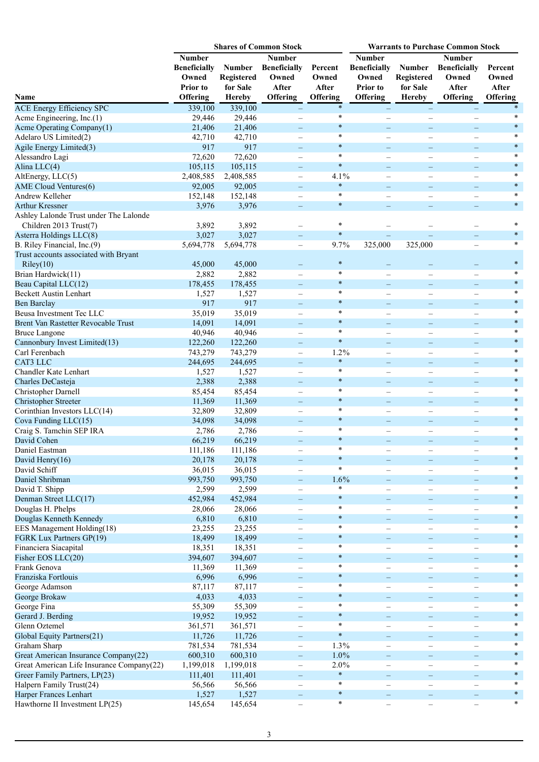|                                                    |                                                                       |                                                          | <b>Shares of Common Stock</b>                                             |                                       | <b>Warrants to Purchase Common Stock</b>                                     |                                                                 |                                                                    |                                              |  |
|----------------------------------------------------|-----------------------------------------------------------------------|----------------------------------------------------------|---------------------------------------------------------------------------|---------------------------------------|------------------------------------------------------------------------------|-----------------------------------------------------------------|--------------------------------------------------------------------|----------------------------------------------|--|
| Name                                               | Number<br><b>Beneficially</b><br>Owned<br><b>Prior</b> to<br>Offering | <b>Number</b><br>Registered<br>for Sale<br><b>Hereby</b> | <b>Number</b><br><b>Beneficially</b><br>Owned<br>After<br><b>Offering</b> | Percent<br>Owned<br>After<br>Offering | <b>Number</b><br><b>Beneficially</b><br>Owned<br>Prior to<br><b>Offering</b> | <b>Number</b><br><b>Registered</b><br>for Sale<br><b>Hereby</b> | <b>Number</b><br><b>Beneficially</b><br>Owned<br>After<br>Offering | Percent<br>Owned<br>After<br><b>Offering</b> |  |
| <b>ACE Energy Efficiency SPC</b>                   | 339,100                                                               | 339,100                                                  |                                                                           | $\ast$                                |                                                                              | $\qquad \qquad -$                                               |                                                                    |                                              |  |
| Acme Engineering, Inc.(1)                          | 29,446                                                                | 29,446                                                   |                                                                           | $\ast$                                |                                                                              | $\overline{\phantom{a}}$                                        |                                                                    | $\ast$                                       |  |
| Acme Operating Company(1)                          | 21,406                                                                | 21,406                                                   | $-$                                                                       | $\ast$                                | $\equiv$                                                                     | $\equiv$                                                        | $\qquad \qquad -$                                                  | $\ast$                                       |  |
| Adelaro US Limited(2)                              | 42,710                                                                | 42,710                                                   |                                                                           | $\ast$                                | $\overline{\phantom{0}}$                                                     |                                                                 |                                                                    | $\ast$                                       |  |
| Agile Energy Limited(3)                            | 917                                                                   | 917                                                      | -                                                                         | $\ast$                                | -                                                                            | $\qquad \qquad -$                                               |                                                                    | $\ast$                                       |  |
| Alessandro Lagi                                    | 72,620                                                                | 72,620                                                   | $\overline{\phantom{0}}$                                                  | $\ast$                                | $\overline{\phantom{0}}$                                                     | $\overbrace{\phantom{12322111}}$                                |                                                                    | $\ast$                                       |  |
| Alina LLC(4)                                       | 105,115                                                               | 105,115                                                  | -                                                                         | $\ast$                                | $-$                                                                          | $\equiv$                                                        |                                                                    | $\ast$                                       |  |
| AltEnergy, LLC(5)                                  | 2,408,585                                                             | 2,408,585                                                | $\overline{\phantom{m}}$                                                  | 4.1%<br>$\ast$                        | $\overline{\phantom{0}}$                                                     | $\overline{\phantom{0}}$                                        |                                                                    | $\ast$<br>$\ast$                             |  |
| AME Cloud Ventures(6)                              | 92,005                                                                | 92,005                                                   | -                                                                         | $\ast$                                | $\overline{\phantom{0}}$                                                     | $\overline{\phantom{0}}$                                        |                                                                    | $\ast$                                       |  |
| Andrew Kelleher                                    | 152,148                                                               | 152,148                                                  | $\overline{\phantom{0}}$                                                  | $\ast$                                | $\overline{\phantom{0}}$                                                     | $\overline{\phantom{0}}$                                        |                                                                    | $\ast$                                       |  |
| <b>Arthur Kressner</b>                             | 3,976                                                                 | 3,976                                                    | $\qquad \qquad -$                                                         |                                       |                                                                              |                                                                 |                                                                    |                                              |  |
| Ashley Lalonde Trust under The Lalonde             |                                                                       |                                                          |                                                                           | $\ast$                                |                                                                              |                                                                 |                                                                    | $\ast$                                       |  |
| Children 2013 Trust(7)                             | 3,892<br>3,027                                                        | 3,892<br>3,027                                           | $\overline{\phantom{0}}$                                                  | $\ast$                                | $\equiv$                                                                     |                                                                 |                                                                    | $\ast$                                       |  |
| Asterra Holdings LLC(8)                            | 5,694,778                                                             | 5,694,778                                                | $\qquad \qquad -$                                                         | 9.7%                                  | 325,000                                                                      | 325,000                                                         |                                                                    | $\ast$                                       |  |
| B. Riley Financial, Inc.(9)                        |                                                                       |                                                          | $-$                                                                       |                                       |                                                                              |                                                                 | $\overline{\phantom{0}}$                                           |                                              |  |
| Trust accounts associated with Bryant<br>Riley(10) | 45,000                                                                | 45,000                                                   |                                                                           | $\ast$                                |                                                                              |                                                                 |                                                                    | $\ast$                                       |  |
| Brian Hardwick(11)                                 | 2,882                                                                 | 2,882                                                    | $\overline{\phantom{0}}$                                                  | $\ast$                                | $\overline{\phantom{0}}$                                                     | $\overline{\phantom{0}}$                                        |                                                                    | $\ast$                                       |  |
| Beau Capital LLC(12)                               | 178,455                                                               | 178,455                                                  |                                                                           | $\ast$                                | $\overline{\phantom{0}}$                                                     | $\qquad \qquad -$                                               |                                                                    | $\ast$                                       |  |
| <b>Beckett Austin Lenhart</b>                      | 1,527                                                                 | 1,527                                                    |                                                                           | $\ast$                                | $\overline{\phantom{0}}$                                                     |                                                                 |                                                                    | $\ast$                                       |  |
| <b>Ben Barclay</b>                                 | 917                                                                   | 917                                                      | $\overline{\phantom{0}}$                                                  | $\ast$                                |                                                                              | $\overline{\phantom{0}}$                                        |                                                                    | $\ast$                                       |  |
| Beusa Investment Tec LLC                           | 35,019                                                                | 35,019                                                   | $\overline{\phantom{0}}$                                                  | $\ast$                                | $\overline{\phantom{0}}$                                                     | $\overline{\phantom{a}}$                                        |                                                                    | $\ast$                                       |  |
| Brent Van Rastetter Revocable Trust                | 14,091                                                                | 14,091                                                   | $\equiv$                                                                  | $\ast$                                | $\equiv$                                                                     | $\equiv$                                                        | $\equiv$                                                           | $\ast$                                       |  |
| <b>Bruce Langone</b>                               | 40,946                                                                | 40,946                                                   |                                                                           | $\ast$                                | $\overline{\phantom{0}}$                                                     | $\overline{\phantom{0}}$                                        |                                                                    | $\ast$                                       |  |
| Cannonbury Invest Limited(13)                      | 122,260                                                               | 122,260                                                  | $\overline{\phantom{0}}$                                                  | $\ast$                                | -                                                                            | $\qquad \qquad -$                                               |                                                                    | $\ast$                                       |  |
| Carl Ferenbach                                     | 743,279                                                               | 743,279                                                  | $\overline{\phantom{0}}$                                                  | 1.2%                                  | $\overline{\phantom{0}}$                                                     | $\overline{\phantom{0}}$                                        |                                                                    | *                                            |  |
| CAT3 LLC                                           | 244,695                                                               | 244,695                                                  | $\overline{\phantom{0}}$                                                  | $\ast$                                | $\equiv$                                                                     | $\equiv$                                                        | $\overline{\phantom{0}}$                                           | $\ast$                                       |  |
| Chandler Kate Lenhart                              | 1,527                                                                 | 1,527                                                    | -                                                                         | $\ast$                                | $\overline{\phantom{0}}$                                                     | $\overline{\phantom{0}}$                                        | $\overline{\phantom{0}}$                                           | $\ast$                                       |  |
| Charles DeCasteja                                  | 2,388                                                                 | 2,388                                                    | -                                                                         | $\ast$                                | $\qquad \qquad -$                                                            | $\qquad \qquad -$                                               |                                                                    | $\ast$                                       |  |
| Christopher Darnell                                | 85,454                                                                | 85,454                                                   | $\overline{\phantom{0}}$                                                  | $\ast$                                | $\overline{\phantom{0}}$                                                     | $\overline{\phantom{0}}$                                        |                                                                    | $\ast$                                       |  |
| <b>Christopher Streeter</b>                        | 11,369                                                                | 11,369                                                   | $\overline{\phantom{0}}$                                                  | $\ast$                                |                                                                              | $\equiv$                                                        |                                                                    | $\ast$                                       |  |
| Corinthian Investors LLC(14)                       | 32,809                                                                | 32,809                                                   | $\overline{\phantom{0}}$                                                  | $\ast$                                |                                                                              | $\overline{\phantom{a}}$                                        |                                                                    | $\ast$                                       |  |
| Cova Funding LLC(15)                               | 34,098                                                                | 34,098                                                   | -                                                                         | $\ast$                                | $\equiv$                                                                     | ÷                                                               |                                                                    | $\ast$                                       |  |
| Craig S. Tamchin SEP IRA                           | 2,786                                                                 | 2,786                                                    |                                                                           | $\ast$                                |                                                                              |                                                                 |                                                                    | $\ast$                                       |  |
| David Cohen                                        | 66,219                                                                | 66,219                                                   |                                                                           | $\ast$                                |                                                                              |                                                                 |                                                                    | $\ast$                                       |  |
| Daniel Eastman                                     | 111,186                                                               | 111,186                                                  | -                                                                         | *                                     |                                                                              | $\qquad \qquad -$                                               | -                                                                  |                                              |  |
| David Henry(16)                                    | 20,178                                                                | 20,178                                                   | $\overline{\phantom{0}}$                                                  | $\ast$                                |                                                                              | $\overline{\phantom{0}}$                                        |                                                                    | $\ast$                                       |  |
| David Schiff                                       | 36,015                                                                | 36,015                                                   | $\qquad \qquad -$                                                         | $\ast$                                | $\overline{\phantom{0}}$                                                     | $\qquad \qquad -$                                               | $\overline{\phantom{0}}$                                           | *                                            |  |
| Daniel Shribman                                    | 993,750                                                               | 993,750                                                  | $\qquad \qquad -$                                                         | 1.6%                                  | $\qquad \qquad -$                                                            | $\qquad \qquad -$                                               | $\qquad \qquad -$                                                  | $\ast$                                       |  |
| David T. Shipp                                     | 2,599                                                                 | 2,599                                                    | $\overline{\phantom{0}}$                                                  | $\ast$                                | $\overline{\phantom{0}}$                                                     | $\overline{\phantom{0}}$                                        |                                                                    | *                                            |  |
| Denman Street LLC(17)                              | 452,984                                                               | 452,984                                                  | $\overline{\phantom{0}}$                                                  | $\ast$                                | $\overline{\phantom{0}}$                                                     | $\qquad \qquad -$                                               |                                                                    | $\ast$                                       |  |
| Douglas H. Phelps                                  | 28,066                                                                | 28,066                                                   | -                                                                         | $\ast$                                |                                                                              | $\overline{\phantom{0}}$                                        |                                                                    | $\ast$                                       |  |
| Douglas Kenneth Kennedy                            | 6,810                                                                 | 6,810                                                    | $\equiv$                                                                  | $\ast$                                | $=$                                                                          | $\equiv$                                                        | -                                                                  | $\ast$                                       |  |
| EES Management Holding(18)                         | 23,255                                                                | 23,255                                                   |                                                                           | $\ast$                                |                                                                              |                                                                 |                                                                    | *                                            |  |
| FGRK Lux Partners GP(19)                           | 18,499                                                                | 18,499                                                   |                                                                           | $\ast$                                |                                                                              |                                                                 |                                                                    | $\ast$                                       |  |
| Financiera Siacapital                              | 18,351                                                                | 18,351                                                   |                                                                           | $\ast$                                |                                                                              |                                                                 |                                                                    | $\ast$                                       |  |
| Fisher EOS LLC(20)                                 | 394,607                                                               | 394,607                                                  | $\overline{\phantom{0}}$                                                  | $\ast$                                | $\overline{\phantom{0}}$                                                     | $\equiv$                                                        | $\overline{\phantom{0}}$                                           | $\ast$                                       |  |
| Frank Genova                                       | 11,369                                                                | 11,369                                                   | $\qquad \qquad -$                                                         | $\ast$                                | $\overline{\phantom{0}}$                                                     | $\overline{\phantom{0}}$                                        | $\qquad \qquad -$                                                  | $\ast$                                       |  |
| Franziska Fortlouis                                | 6,996                                                                 | 6,996                                                    | -                                                                         | $\ast$                                | -                                                                            | $\qquad \qquad -$                                               | $\qquad \qquad -$                                                  | $\ast$                                       |  |
| George Adamson                                     | 87,117                                                                | 87,117                                                   |                                                                           | $\ast$                                | $\overline{\phantom{0}}$                                                     | $\overline{\phantom{0}}$                                        |                                                                    | $\ast$<br>$\ast$                             |  |
| George Brokaw                                      | 4,033                                                                 | 4,033                                                    | $\overline{\phantom{0}}$                                                  | $\ast$<br>$\ast$                      | —                                                                            | $\qquad \qquad -$                                               |                                                                    | $\ast$                                       |  |
| George Fina                                        | 55,309                                                                | 55,309                                                   | $\overline{\phantom{0}}$                                                  |                                       | $\overline{\phantom{0}}$                                                     | $\overbrace{\phantom{12322111}}$                                | $\overline{\phantom{0}}$                                           | $\ast$                                       |  |
| Gerard J. Berding                                  | 19,952                                                                | 19,952                                                   | -                                                                         | $\ast$<br>$\ast$                      | $=$                                                                          | $\overline{\phantom{m}}$                                        | -                                                                  | *                                            |  |
| Glenn Oztemel                                      | 361,571                                                               | 361,571                                                  | $\qquad \qquad -$                                                         | $\ast$                                |                                                                              | $\qquad \qquad -$                                               | $\overline{\phantom{0}}$                                           | $\ast$                                       |  |
| Global Equity Partners(21)                         | 11,726                                                                | 11,726                                                   | -                                                                         |                                       |                                                                              | $\qquad \qquad -$                                               | -                                                                  | $\ast$                                       |  |
| Graham Sharp                                       | 781,534                                                               | 781,534                                                  | $\qquad \qquad -$                                                         | 1.3%                                  | $\overline{\phantom{0}}$                                                     | $\overline{\phantom{0}}$                                        |                                                                    | $\ast$                                       |  |
| Great American Insurance Company(22)               | 600,310                                                               | 600,310                                                  | $\qquad \qquad -$                                                         | 1.0%                                  | $\qquad \qquad -$                                                            | $\qquad \qquad -$                                               | $\qquad \qquad -$                                                  | $\ast$                                       |  |
| Great American Life Insurance Company(22)          | 1,199,018                                                             | 1,199,018                                                | $\qquad \qquad -$                                                         | 2.0%<br>$\ast$                        |                                                                              | $\overline{\phantom{0}}$                                        | $\qquad \qquad -$                                                  | $\ast$                                       |  |
| Greer Family Partners, LP(23)                      | 111,401                                                               | 111,401                                                  | -                                                                         | $\ast$                                | -                                                                            | $\qquad \qquad -$                                               | $\qquad \qquad -$                                                  | $\ast$                                       |  |
| Halpern Family Trust(24)<br>Harper Frances Lenhart | 56,566<br>1,527                                                       | 56,566                                                   | $\overline{\phantom{0}}$                                                  | $\ast$                                | $\overline{\phantom{0}}$<br>—<br>—                                           | $\overline{\phantom{0}}$                                        |                                                                    | $\ast$                                       |  |
| Hawthorne II Investment LP(25)                     | 145,654                                                               | 1,527<br>145,654                                         | $\overline{\phantom{0}}$<br>$\qquad \qquad -$                             | $\ast$                                | $\qquad \qquad -$                                                            | $\qquad \qquad -$<br>$\qquad \qquad -$                          | -<br>$\qquad \qquad -$                                             | $\ast$                                       |  |
|                                                    |                                                                       |                                                          |                                                                           |                                       |                                                                              |                                                                 |                                                                    |                                              |  |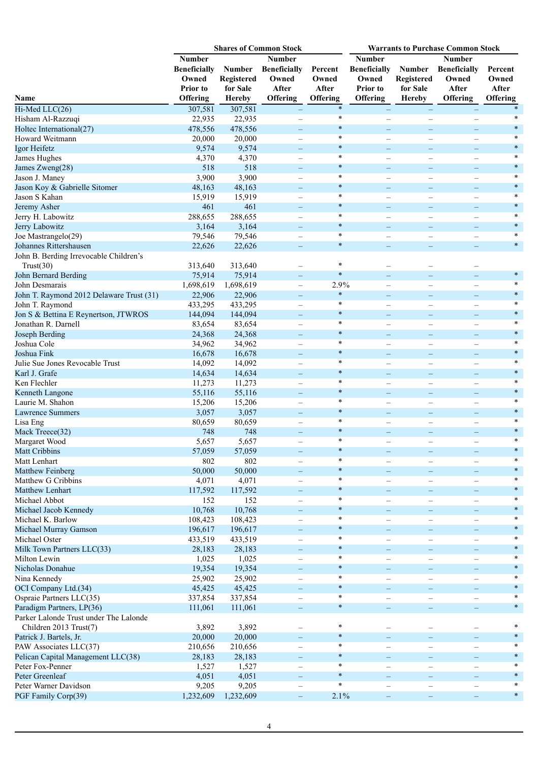|                                          |                                                                              |                                                          | <b>Shares of Common Stock</b>                                             |                                       | <b>Warrants to Purchase Common Stock</b>                                     |                                                          |                                                                    |                                       |
|------------------------------------------|------------------------------------------------------------------------------|----------------------------------------------------------|---------------------------------------------------------------------------|---------------------------------------|------------------------------------------------------------------------------|----------------------------------------------------------|--------------------------------------------------------------------|---------------------------------------|
| Name                                     | <b>Number</b><br><b>Beneficially</b><br>Owned<br><b>Prior</b> to<br>Offering | <b>Number</b><br>Registered<br>for Sale<br><b>Hereby</b> | <b>Number</b><br><b>Beneficially</b><br>Owned<br>After<br><b>Offering</b> | Percent<br>Owned<br>After<br>Offering | <b>Number</b><br><b>Beneficially</b><br>Owned<br>Prior to<br><b>Offering</b> | <b>Number</b><br>Registered<br>for Sale<br><b>Hereby</b> | <b>Number</b><br><b>Beneficially</b><br>Owned<br>After<br>Offering | Percent<br>Owned<br>After<br>Offering |
| Hi-Med LLC(26)                           | 307,581                                                                      | 307,581                                                  |                                                                           | $\ast$                                |                                                                              | $\qquad \qquad -$                                        |                                                                    |                                       |
| Hisham Al-Razzuqi                        | 22,935                                                                       | 22,935                                                   | $\overline{\phantom{0}}$                                                  | $\ast$                                | $\overline{\phantom{0}}$                                                     | $\overline{\phantom{0}}$                                 |                                                                    | *                                     |
| Holtec International(27)                 | 478,556                                                                      | 478,556                                                  | $\overline{\phantom{0}}$                                                  | $\ast$                                | $\equiv$                                                                     | $\equiv$                                                 |                                                                    | $\ast$                                |
| Howard Weitmann                          | 20,000                                                                       | 20,000                                                   |                                                                           | $\ast$                                | $\overline{\phantom{0}}$                                                     |                                                          |                                                                    | $\ast$                                |
| Igor Heifetz                             | 9,574                                                                        | 9,574                                                    | -                                                                         | $\ast$                                | $\equiv$                                                                     | $\equiv$                                                 |                                                                    | $\ast$                                |
| James Hughes                             | 4,370                                                                        | 4,370                                                    |                                                                           | $\ast$                                | $\overline{\phantom{0}}$                                                     | $\overline{\phantom{0}}$                                 |                                                                    | $\ast$                                |
| James Zweng(28)                          | 518                                                                          | 518                                                      |                                                                           | $\ast$                                | $\overline{\phantom{0}}$                                                     | $\overline{\phantom{0}}$                                 |                                                                    | $\ast$                                |
| Jason J. Maney                           | 3,900                                                                        | 3,900                                                    | $\overline{\phantom{0}}$                                                  | $\ast$                                | $\overline{\phantom{0}}$                                                     | $\qquad \qquad -$                                        | $\overline{\phantom{0}}$                                           | $\ast$                                |
| Jason Koy & Gabrielle Sitomer            | 48,163                                                                       | 48,163                                                   | $\overline{\phantom{0}}$                                                  | $\ast$                                | $\equiv$                                                                     | $\equiv$                                                 | $\equiv$                                                           | $\ast$                                |
| Jason S Kahan                            | 15,919                                                                       | 15,919                                                   | $\overline{\phantom{0}}$                                                  | $\ast$                                | $\overline{\phantom{0}}$                                                     | $\overline{\phantom{0}}$                                 | $\overline{\phantom{0}}$                                           | $\ast$                                |
| Jeremy Asher                             | 461                                                                          | 461                                                      | $\overline{\phantom{0}}$                                                  | $\ast$                                | $\overline{\phantom{0}}$                                                     | $\overline{\phantom{0}}$                                 |                                                                    | $\ast$                                |
| Jerry H. Labowitz                        | 288,655                                                                      | 288,655                                                  | -                                                                         | $\ast$                                | $\overline{\phantom{0}}$                                                     | $\overline{\phantom{0}}$                                 | $\overline{\phantom{0}}$                                           | $\ast$                                |
| Jerry Labowitz                           | 3,164                                                                        | 3,164                                                    | $\equiv$                                                                  | $\ast$                                | $-$                                                                          | $\qquad \qquad -$                                        |                                                                    | $\ast$                                |
| Joe Mastrangelo(29)                      | 79,546                                                                       | 79,546                                                   |                                                                           | $\ast$                                | $\overline{\phantom{0}}$                                                     |                                                          |                                                                    | $\ast$                                |
| Johannes Rittershausen                   | 22,626                                                                       | 22,626                                                   | $\overline{\phantom{0}}$                                                  | $\ast$                                |                                                                              | $\equiv$                                                 |                                                                    | $\ast$                                |
| John B. Berding Irrevocable Children's   |                                                                              |                                                          |                                                                           |                                       |                                                                              |                                                          |                                                                    |                                       |
| Trust(30)                                | 313,640                                                                      | 313,640                                                  | -                                                                         | $\ast$                                |                                                                              |                                                          |                                                                    |                                       |
| John Bernard Berding                     | 75,914                                                                       | 75,914                                                   | $-$                                                                       | $\ast$                                | $\equiv$                                                                     |                                                          |                                                                    | $\ast$                                |
| John Desmarais                           | 1,698,619                                                                    | 1,698,619                                                | $\overline{\phantom{0}}$                                                  | 2.9%                                  | $\overline{\phantom{0}}$                                                     |                                                          |                                                                    | $\ast$                                |
| John T. Raymond 2012 Delaware Trust (31) | 22,906                                                                       | 22,906                                                   | $\equiv$                                                                  | $\ast$                                | $\equiv$                                                                     | ۰                                                        |                                                                    | $\ast$                                |
| John T. Raymond                          | 433,295                                                                      | 433,295                                                  |                                                                           | $\ast$                                |                                                                              |                                                          |                                                                    | $\ast$                                |
| Jon S & Bettina E Reynertson, JTWROS     | 144,094                                                                      | 144,094                                                  |                                                                           | $\ast$                                | $\overline{\phantom{0}}$                                                     | $\overline{\phantom{0}}$                                 |                                                                    | $\ast$                                |
| Jonathan R. Darnell                      | 83,654                                                                       | 83,654                                                   | $\qquad \qquad -$                                                         | $\ast$                                | $\overline{\phantom{0}}$                                                     | $\overbrace{\phantom{12322111}}$                         | $\overline{\phantom{0}}$                                           | $\ast$                                |
| Joseph Berding                           | 24,368                                                                       | 24,368                                                   | $\overline{\phantom{0}}$                                                  | $\ast$                                | $\equiv$                                                                     | $\equiv$                                                 | $\equiv$                                                           | $\ast$                                |
| Joshua Cole                              | 34,962                                                                       | 34,962                                                   |                                                                           | $\ast$                                | $\overline{\phantom{0}}$                                                     | $\overline{\phantom{0}}$                                 |                                                                    | $\ast$                                |
| Joshua Fink                              | 16,678                                                                       | 16,678                                                   |                                                                           | $\ast$                                | $\overline{\phantom{0}}$                                                     | $\overline{\phantom{0}}$                                 |                                                                    | $\ast$                                |
| Julie Sue Jones Revocable Trust          | 14,092                                                                       | 14,092                                                   | -                                                                         | $\ast$                                | $\overline{\phantom{0}}$                                                     | $\overline{\phantom{0}}$                                 |                                                                    | $\ast$                                |
| Karl J. Grafe                            | 14,634                                                                       | 14,634                                                   | -                                                                         | $\ast$                                | $-$                                                                          | $\equiv$                                                 | $\equiv$                                                           | $\ast$                                |
| Ken Flechler                             | 11,273                                                                       | 11,273                                                   |                                                                           | $\ast$                                | $\overline{\phantom{0}}$                                                     |                                                          |                                                                    | $\ast$                                |
| Kenneth Langone                          | 55,116                                                                       | 55,116                                                   | -                                                                         | $\ast$                                |                                                                              | ۰                                                        |                                                                    | $\ast$                                |
| Laurie M. Shahon                         | 15,206                                                                       | 15,206                                                   |                                                                           | $\ast$                                |                                                                              |                                                          |                                                                    | $\ast$                                |
| <b>Lawrence Summers</b>                  | 3,057                                                                        | 3,057                                                    |                                                                           | $\ast$                                | $\overline{\phantom{0}}$                                                     | $\overline{\phantom{0}}$                                 |                                                                    | $\ast$                                |
| Lisa Eng                                 | 80,659                                                                       | 80,659                                                   | $\qquad \qquad -$                                                         | $\ast$                                | $\overline{\phantom{0}}$                                                     | $\overbrace{\phantom{12322111}}$                         |                                                                    | *                                     |
| Mack Treece(32)                          | 748                                                                          | 748                                                      | -                                                                         | $\ast$                                | $\overline{\phantom{0}}$                                                     | $\overline{\phantom{0}}$                                 |                                                                    | $\ast$                                |
| Margaret Wood                            | 5,657                                                                        | 5,657                                                    | $\overline{\phantom{0}}$                                                  | $\ast$                                | $\overline{\phantom{0}}$                                                     | $\overline{\phantom{0}}$                                 | $\overline{\phantom{0}}$                                           | $\ast$                                |
| <b>Matt Cribbins</b>                     | 57,059                                                                       | 57,059                                                   | -                                                                         | $\ast$                                |                                                                              | $\qquad \qquad -$                                        |                                                                    | $\ast$                                |
| Matt Lenhart                             | 802                                                                          | 802                                                      | $\overline{\phantom{0}}$                                                  |                                       | -                                                                            | $\qquad \qquad -$                                        | -                                                                  | $\ast$                                |
| <b>Matthew Feinberg</b>                  | 50,000                                                                       | 50,000                                                   | $-$                                                                       | $\ast$<br>$\ast$                      | $-$                                                                          | $\qquad \qquad -$                                        | $\equiv$                                                           | *                                     |
| Matthew G Cribbins                       | 4,071                                                                        | 4,071                                                    |                                                                           |                                       | $\overline{\phantom{0}}$                                                     | $\overline{\phantom{a}}$                                 |                                                                    |                                       |
| Matthew Lenhart                          | 117,592                                                                      | 117,592                                                  | $\overline{\phantom{0}}$                                                  | $\ast$                                | —                                                                            | $\overline{\phantom{0}}$                                 |                                                                    | $\ast$                                |
| Michael Abbot                            | 152                                                                          | 152                                                      | —                                                                         | $\ast$<br>$\ast$                      | —                                                                            | $\qquad \qquad -$                                        | $\overline{\phantom{0}}$                                           | $\ast$<br>$\ast$                      |
| Michael Jacob Kennedy                    | 10,768                                                                       | 10,768                                                   |                                                                           | $\ast$                                | $\overline{\phantom{0}}$                                                     | $\qquad \qquad -$                                        |                                                                    | $\ast$                                |
| Michael K. Barlow                        | 108,423                                                                      | 108,423                                                  | $\overline{\phantom{0}}$                                                  | $\ast$                                | $\overline{\phantom{0}}$                                                     | $\overbrace{\phantom{12322111}}$                         | $\overline{\phantom{0}}$                                           | $\ast$                                |
| Michael Murray Gamson                    | 196,617                                                                      | 196,617                                                  | $\qquad \qquad -$                                                         | $\ast$                                | $\qquad \qquad -$                                                            | $\qquad \qquad -$                                        | $\overline{\phantom{0}}$                                           | $\ast$                                |
| Michael Oster                            | 433,519                                                                      | 433,519                                                  | $\overline{\phantom{0}}$                                                  | $\ast$                                | $\overline{\phantom{0}}$                                                     | $\overline{\phantom{0}}$                                 | $\overline{\phantom{0}}$                                           | $\ast$                                |
| Milk Town Partners LLC(33)               | 28,183                                                                       | 28,183                                                   | -                                                                         | $\ast$                                | -                                                                            | $\qquad \qquad -$                                        |                                                                    | $\ast$                                |
| Milton Lewin                             | 1,025                                                                        | 1,025                                                    | $\overline{\phantom{0}}$                                                  | $\ast$                                | $\overline{\phantom{0}}$                                                     | $\overbrace{\phantom{12322111}}$                         | $\overline{\phantom{0}}$                                           | $\ast$                                |
| Nicholas Donahue                         | 19,354                                                                       | 19,354                                                   | $\qquad \qquad -$                                                         | $\ast$                                | $\qquad \qquad -$                                                            | $\qquad \qquad -$                                        | $\equiv$                                                           | *                                     |
| Nina Kennedy                             | 25,902                                                                       | 25,902                                                   |                                                                           | $\ast$                                |                                                                              | $\overline{\phantom{a}}$                                 |                                                                    | $\ast$                                |
| OCI Company Ltd.(34)                     | 45,425                                                                       | 45,425                                                   | -                                                                         | $\ast$                                | —                                                                            | $\equiv$                                                 |                                                                    | $\ast$                                |
| Ospraie Partners LLC(35)                 | 337,854                                                                      | 337,854                                                  |                                                                           | $\ast$                                |                                                                              | $\qquad \qquad -$                                        |                                                                    | $\ast$                                |
| Paradigm Partners, LP(36)                | 111,061                                                                      | 111,061                                                  | $=$                                                                       |                                       |                                                                              | $\qquad \qquad -$                                        |                                                                    |                                       |
| Parker Lalonde Trust under The Lalonde   |                                                                              |                                                          |                                                                           |                                       |                                                                              |                                                          |                                                                    |                                       |
| Children 2013 Trust(7)                   | 3,892                                                                        | 3,892                                                    | $\overline{\phantom{0}}$                                                  | $\ast$                                |                                                                              |                                                          |                                                                    | *                                     |
| Patrick J. Bartels, Jr.                  | 20,000                                                                       | 20,000                                                   |                                                                           | $\ast$                                |                                                                              |                                                          |                                                                    | $\ast$                                |
| PAW Associates LLC(37)                   | 210,656                                                                      | 210,656                                                  | -                                                                         | $\ast$                                |                                                                              | $\qquad \qquad -$                                        | -                                                                  | $\ast$                                |
| Pelican Capital Management LLC(38)       | 28,183                                                                       | 28,183                                                   | $\overline{\phantom{0}}$                                                  | $\ast$                                |                                                                              | $\equiv$                                                 | $\equiv$                                                           | $\ast$                                |
| Peter Fox-Penner                         | 1,527                                                                        | 1,527                                                    | $\equiv$                                                                  | $\ast$                                | $\overline{\phantom{0}}$                                                     | $\overline{\phantom{0}}$                                 | $\equiv$                                                           | $\ast$                                |
| Peter Greenleaf                          | 4,051                                                                        | 4,051                                                    | $\qquad \qquad -$                                                         | $\ast$                                | $\equiv$                                                                     | $\qquad \qquad -$                                        | $\overline{\phantom{0}}$                                           | $\ast$                                |
| Peter Warner Davidson                    | 9,205                                                                        | 9,205                                                    | $\overline{\phantom{0}}$                                                  | $\ast$                                | $\overline{\phantom{0}}$                                                     | $\qquad \qquad -$                                        |                                                                    | $\ast$                                |
| PGF Family Corp(39)                      | 1,232,609                                                                    | 1,232,609                                                | -                                                                         | 2.1%                                  | $\qquad \qquad -$                                                            | $\overline{\phantom{0}}$                                 |                                                                    | $\ast$                                |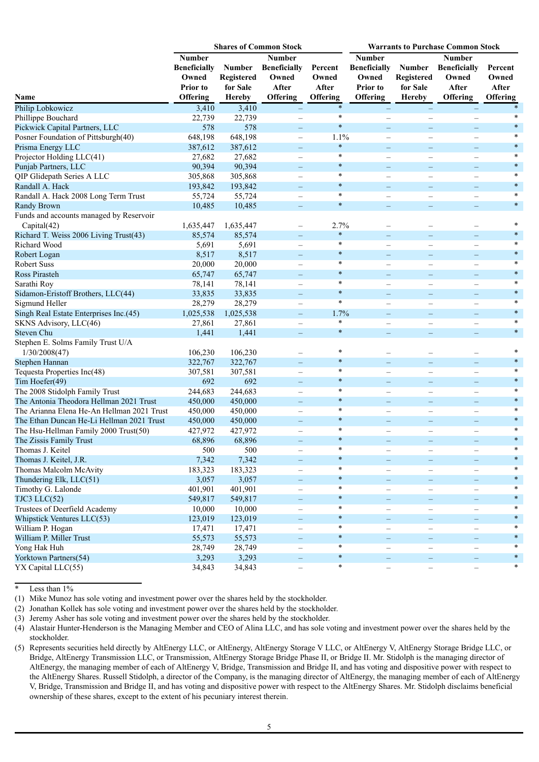|                                            | <b>Shares of Common Stock</b><br><b>Warrants to Purchase Common Stock</b> |               |                          |          |                               |                                               |                          |          |  |
|--------------------------------------------|---------------------------------------------------------------------------|---------------|--------------------------|----------|-------------------------------|-----------------------------------------------|--------------------------|----------|--|
|                                            | <b>Number</b>                                                             |               | <b>Number</b>            |          | <b>Number</b>                 |                                               | <b>Number</b>            |          |  |
|                                            | <b>Beneficially</b>                                                       | <b>Number</b> | <b>Beneficially</b>      | Percent  | <b>Beneficially</b>           | <b>Number</b>                                 | <b>Beneficially</b>      | Percent  |  |
|                                            | Owned                                                                     | Registered    | Owned                    | Owned    | Owned                         | Registered                                    | Owned                    | Owned    |  |
|                                            | <b>Prior</b> to                                                           | for Sale      | After                    | After    | <b>Prior</b> to               | for Sale                                      | After                    | After    |  |
| Name                                       | <b>Offering</b>                                                           | <b>Hereby</b> | <b>Offering</b>          | Offering | <b>Offering</b>               | <b>Hereby</b>                                 | Offering                 | Offering |  |
|                                            |                                                                           |               |                          | $\ast$   |                               |                                               |                          | $\ast$   |  |
| Philip Lobkowicz                           | 3,410                                                                     | 3,410         |                          | $\ast$   |                               | $\overline{\phantom{0}}$                      |                          | $\ast$   |  |
| Phillippe Bouchard                         | 22,739                                                                    | 22,739        | $\overline{\phantom{0}}$ | $\ast$   | $\overline{\phantom{0}}$      | $\overline{\phantom{0}}$                      | -                        | $\ast$   |  |
| Pickwick Capital Partners, LLC             | 578                                                                       | 578           | $-$                      |          | $\equiv$                      | $\qquad \qquad -$                             | $\equiv$                 | $\ast$   |  |
| Posner Foundation of Pittsburgh(40)        | 648,198                                                                   | 648,198       | $\overline{\phantom{0}}$ | 1.1%     | $\overline{\phantom{0}}$      |                                               |                          | $\ast$   |  |
| Prisma Energy LLC                          | 387,612                                                                   | 387,612       | $=$                      | $\ast$   | $-$                           | $\equiv$                                      | -                        |          |  |
| Projector Holding LLC(41)                  | 27,682                                                                    | 27,682        |                          | $\ast$   |                               | $\overline{\phantom{0}}$                      |                          | $\ast$   |  |
| Punjab Partners, LLC                       | 90,394                                                                    | 90,394        |                          | $\ast$   | -                             | $\overline{\phantom{0}}$                      |                          | $\ast$   |  |
| QIP Glidepath Series A LLC                 | 305,868                                                                   | 305,868       | $\qquad \qquad -$        | $\ast$   | $\overline{\phantom{0}}$      | $\overline{\phantom{0}}$                      | $\overline{\phantom{0}}$ | $\ast$   |  |
| Randall A. Hack                            | 193,842                                                                   | 193,842       | $\equiv$                 | $\ast$   | $\equiv$                      | $\equiv$                                      | $\equiv$                 | $\ast$   |  |
| Randall A. Hack 2008 Long Term Trust       | 55,724                                                                    | 55,724        | $\overline{\phantom{0}}$ | $\ast$   | $\overline{\phantom{0}}$      | $\overline{\phantom{0}}$                      |                          | $\ast$   |  |
| <b>Randy Brown</b>                         | 10,485                                                                    | 10,485        | -                        | $\ast$   | —                             | $\overline{\phantom{0}}$                      |                          | $\ast$   |  |
| Funds and accounts managed by Reservoir    |                                                                           |               |                          |          |                               |                                               |                          |          |  |
| Capital(42)                                | 1,635,447                                                                 | 1,635,447     | $\overline{\phantom{0}}$ | 2.7%     |                               |                                               |                          | $\ast$   |  |
| Richard T. Weiss 2006 Living Trust(43)     | 85,574                                                                    | 85,574        | $\overline{\phantom{0}}$ | $\ast$   | $\equiv$                      | $\equiv$                                      | $\equiv$                 | $\ast$   |  |
| Richard Wood                               | 5,691                                                                     | 5,691         |                          | $\ast$   | $\overline{\phantom{0}}$      | $\overline{\phantom{0}}$                      |                          | $\ast$   |  |
| Robert Logan                               | 8,517                                                                     | 8,517         |                          | $\ast$   |                               | -                                             |                          | $\ast$   |  |
| Robert Suss                                | 20,000                                                                    | 20,000        |                          | $\ast$   | $\overline{\phantom{0}}$      | $\overline{\phantom{0}}$                      |                          | $\ast$   |  |
| Ross Pirasteh                              | 65,747                                                                    | 65,747        | $\equiv$                 | $\ast$   | $-$                           | $\qquad \qquad -$                             | $\equiv$                 | $\ast$   |  |
| Sarathi Roy                                | 78,141                                                                    | 78,141        |                          | $\ast$   |                               |                                               |                          | $\ast$   |  |
| Sidamon-Eristoff Brothers, LLC(44)         | 33,835                                                                    | 33,835        | $=$                      | $\ast$   | $-$                           | ۰                                             |                          | $\ast$   |  |
| Sigmund Heller                             | 28,279                                                                    | 28,279        | $\overline{\phantom{0}}$ | $\ast$   |                               |                                               |                          | $\ast$   |  |
| Singh Real Estate Enterprises Inc.(45)     | 1,025,538                                                                 | 1,025,538     | $\overline{\phantom{0}}$ | 1.7%     |                               | $\equiv$                                      |                          | $\ast$   |  |
| SKNS Advisory, LLC(46)                     | 27,861                                                                    | 27,861        | $\overline{\phantom{0}}$ | $\ast$   | $\overline{\phantom{0}}$      | $\overbrace{\phantom{1232211}}$               | $\overline{\phantom{0}}$ | $\ast$   |  |
| <b>Steven Chu</b>                          | 1,441                                                                     | 1,441         | $\qquad \qquad -$        | $\ast$   | $-$                           | $\overline{\phantom{m}}$                      | $\qquad \qquad -$        | $\ast$   |  |
| Stephen E. Solms Family Trust U/A          |                                                                           |               |                          |          |                               |                                               |                          |          |  |
| 1/30/2008(47)                              | 106,230                                                                   | 106,230       |                          | $\ast$   |                               |                                               |                          | *        |  |
| Stephen Hannan                             | 322,767                                                                   | 322,767       |                          | $\ast$   |                               | $\overline{\phantom{0}}$                      |                          | $\ast$   |  |
| Tequesta Properties Inc(48)                | 307,581                                                                   | 307,581       | $\overline{\phantom{0}}$ | $\ast$   | $\overline{\phantom{0}}$      | $\overline{\phantom{0}}$                      | $\overline{\phantom{0}}$ | $\ast$   |  |
| Tim Hoefer(49)                             | 692                                                                       | 692           | $\equiv$                 | $\ast$   | $\equiv$                      | $\equiv$                                      | $\equiv$                 | $\ast$   |  |
| The 2008 Stidolph Family Trust             | 244,683                                                                   | 244,683       |                          | $\ast$   | $\overline{\phantom{0}}$      | $\overline{\phantom{0}}$                      |                          | $\ast$   |  |
| The Antonia Theodora Hellman 2021 Trust    | 450,000                                                                   | 450,000       | -                        | $\ast$   |                               | -                                             |                          | $\ast$   |  |
| The Arianna Elena He-An Hellman 2021 Trust | 450,000                                                                   | 450,000       | $\overline{\phantom{0}}$ | $\ast$   | $\overline{\phantom{0}}$      | $\overline{\phantom{0}}$                      |                          | $\ast$   |  |
| The Ethan Duncan He-Li Hellman 2021 Trust  | 450,000                                                                   | 450,000       | -                        | $\ast$   | $\equiv$                      | $\equiv$                                      |                          | $\ast$   |  |
| The Hsu-Hellman Family 2000 Trust(50)      | 427,972                                                                   | 427,972       |                          | $\ast$   |                               |                                               |                          | $\ast$   |  |
| The Zissis Family Trust                    | 68,896                                                                    | 68,896        | $\equiv$                 | $\ast$   |                               | $\overline{\phantom{0}}$                      |                          | $\ast$   |  |
| Thomas J. Keitel                           | 500                                                                       | 500           | -                        |          | —                             | $\overline{\phantom{m}}$                      | -                        |          |  |
| Thomas J. Keitel, J.R.                     | 7,342                                                                     | 7,342         | $\overline{\phantom{0}}$ | $\ast$   |                               | $\equiv$                                      |                          |          |  |
| Thomas Malcolm McAvity                     | 183,323                                                                   | 183,323       | $\overline{\phantom{0}}$ | $\ast$   | $\overline{\phantom{0}}$      | $\qquad \qquad -$                             | $\overline{\phantom{0}}$ | $\ast$   |  |
| Thundering Elk, LLC(51)                    | 3,057                                                                     | 3,057         | -                        | $\ast$   | $\overline{\phantom{0}}$      | $\qquad \qquad -$                             | $\qquad \qquad -$        | $\ast$   |  |
| Timothy G. Lalonde                         | 401,901                                                                   | 401,901       |                          | $\ast$   | $\overline{\phantom{0}}$      | $\overline{\phantom{0}}$                      |                          | $\ast$   |  |
| TJC3 LLC(52)                               | 549,817                                                                   | 549,817       |                          | $\ast$   |                               |                                               |                          | $\ast$   |  |
| Trustees of Deerfield Academy              | 10,000                                                                    | 10,000        | $\overline{\phantom{0}}$ | $\ast$   | -<br>$\overline{\phantom{0}}$ | $\qquad \qquad -$<br>$\overline{\phantom{0}}$ | $\overline{\phantom{0}}$ |          |  |
| Whipstick Ventures LLC(53)                 | 123,019                                                                   | 123,019       | $=$                      | $\ast$   | $-$                           | $\overline{\phantom{m}}$                      | $\qquad \qquad -$        | $\ast$   |  |
| William P. Hogan                           | 17,471                                                                    | 17,471        |                          | $\ast$   |                               |                                               |                          | *        |  |
| William P. Miller Trust                    | 55,573                                                                    |               |                          | $\ast$   |                               | $\overline{\phantom{0}}$                      |                          | $\ast$   |  |
|                                            |                                                                           | 55,573        | $\overline{\phantom{0}}$ | $\ast$   |                               | $\overline{\phantom{0}}$                      |                          | *        |  |
| Yong Hak Huh                               | 28,749                                                                    | 28,749        |                          | $\ast$   |                               | $\overline{\phantom{m}}$                      |                          | $\ast$   |  |
| Yorktown Partners(54)                      | 3,293                                                                     | 3,293         | $\overline{\phantom{0}}$ | $\ast$   |                               | $\qquad \qquad -$                             | $\overline{\phantom{0}}$ | $\ast$   |  |
| YX Capital LLC(55)                         | 34,843                                                                    | 34,843        | $\overline{\phantom{0}}$ |          | $\overline{\phantom{0}}$      | $\qquad \qquad -$                             | $\qquad \qquad -$        |          |  |

<sup>\*</sup> Less than 1%

(2) Jonathan Kollek has sole voting and investment power over the shares held by the stockholder.

<sup>(1)</sup> Mike Munoz has sole voting and investment power over the shares held by the stockholder.

<sup>(3)</sup> Jeremy Asher has sole voting and investment power over the shares held by the stockholder.

<sup>(4)</sup> Alastair Hunter-Henderson is the Managing Member and CEO of Alina LLC, and has sole voting and investment power over the shares held by the stockholder.

<sup>(5)</sup> Represents securities held directly by AltEnergy LLC, or AltEnergy, AltEnergy Storage V LLC, or AltEnergy V, AltEnergy Storage Bridge LLC, or Bridge, AltEnergy Transmission LLC, or Transmission, AltEnergy Storage Bridge Phase II, or Bridge II. Mr. Stidolph is the managing director of AltEnergy, the managing member of each of AltEnergy V, Bridge, Transmission and Bridge II, and has voting and dispositive power with respect to the AltEnergy Shares. Russell Stidolph, a director of the Company, is the managing director of AltEnergy, the managing member of each of AltEnergy V, Bridge, Transmission and Bridge II, and has voting and dispositive power with respect to the AltEnergy Shares. Mr. Stidolph disclaims beneficial ownership of these shares, except to the extent of his pecuniary interest therein.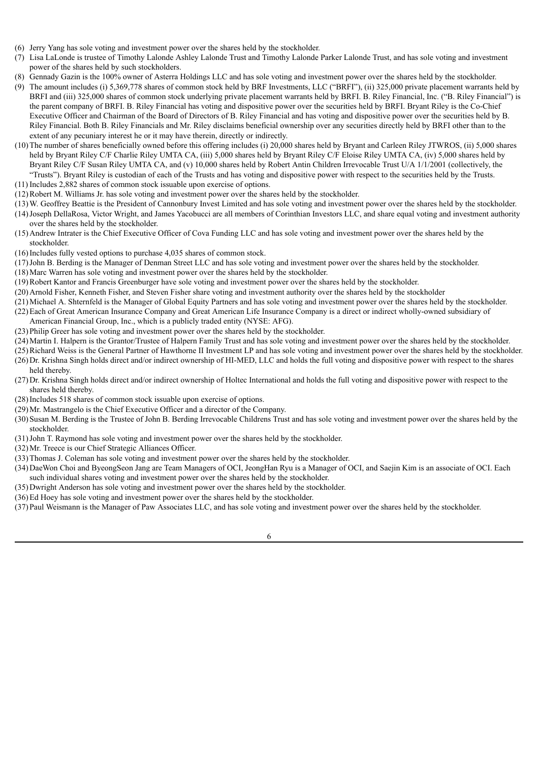- (6) Jerry Yang has sole voting and investment power over the shares held by the stockholder.
- (7) Lisa LaLonde is trustee of Timothy Lalonde Ashley Lalonde Trust and Timothy Lalonde Parker Lalonde Trust, and has sole voting and investment power of the shares held by such stockholders.
- (8) Gennady Gazin is the 100% owner of Asterra Holdings LLC and has sole voting and investment power over the shares held by the stockholder.
- (9) The amount includes (i) 5,369,778 shares of common stock held by BRF Investments, LLC ("BRFI"), (ii) 325,000 private placement warrants held by BRFI and (iii) 325,000 shares of common stock underlying private placement warrants held by BRFI. B. Riley Financial, Inc. ("B. Riley Financial") is the parent company of BRFI. B. Riley Financial has voting and dispositive power over the securities held by BRFI. Bryant Riley is the Co-Chief Executive Officer and Chairman of the Board of Directors of B. Riley Financial and has voting and dispositive power over the securities held by B. Riley Financial. Both B. Riley Financials and Mr. Riley disclaims beneficial ownership over any securities directly held by BRFI other than to the extent of any pecuniary interest he or it may have therein, directly or indirectly.
- (10)The number of shares beneficially owned before this offering includes (i) 20,000 shares held by Bryant and Carleen Riley JTWROS, (ii) 5,000 shares held by Bryant Riley C/F Charlie Riley UMTA CA, (iii) 5,000 shares held by Bryant Riley C/F Eloise Riley UMTA CA, (iv) 5,000 shares held by Bryant Riley C/F Susan Riley UMTA CA, and (v) 10,000 shares held by Robert Antin Children Irrevocable Trust U/A 1/1/2001 (collectively, the "Trusts"). Bryant Riley is custodian of each of the Trusts and has voting and dispositive power with respect to the securities held by the Trusts.
- (11) Includes 2,882 shares of common stock issuable upon exercise of options.
- (12)Robert M. Williams Jr. has sole voting and investment power over the shares held by the stockholder.
- (13)W. Geoffrey Beattie is the President of Cannonbury Invest Limited and has sole voting and investment power over the shares held by the stockholder. (14)Joseph DellaRosa, Victor Wright, and James Yacobucci are all members of Corinthian Investors LLC, and share equal voting and investment authority over the shares held by the stockholder.
- (15)Andrew Intrater is the Chief Executive Officer of Cova Funding LLC and has sole voting and investment power over the shares held by the stockholder.
- (16)Includes fully vested options to purchase 4,035 shares of common stock.
- (17)John B. Berding is the Manager of Denman Street LLC and has sole voting and investment power over the shares held by the stockholder.
- (18)Marc Warren has sole voting and investment power over the shares held by the stockholder.
- (19)Robert Kantor and Francis Greenburger have sole voting and investment power over the shares held by the stockholder.
- (20)Arnold Fisher, Kenneth Fisher, and Steven Fisher share voting and investment authority over the shares held by the stockholder
- (21)Michael A. Shternfeld is the Manager of Global Equity Partners and has sole voting and investment power over the shares held by the stockholder.
- (22)Each of Great American Insurance Company and Great American Life Insurance Company is a direct or indirect wholly-owned subsidiary of American Financial Group, Inc., which is a publicly traded entity (NYSE: AFG).
- (23)Philip Greer has sole voting and investment power over the shares held by the stockholder.
- (24)Martin I. Halpern is the Grantor/Trustee of Halpern Family Trust and has sole voting and investment power over the shares held by the stockholder.
- (25)Richard Weiss is the General Partner of Hawthorne II Investment LP and has sole voting and investment power over the shares held by the stockholder.
- (26)Dr. Krishna Singh holds direct and/or indirect ownership of HI-MED, LLC and holds the full voting and dispositive power with respect to the shares held thereby.
- (27)Dr. Krishna Singh holds direct and/or indirect ownership of Holtec International and holds the full voting and dispositive power with respect to the shares held thereby.
- (28)Includes 518 shares of common stock issuable upon exercise of options.
- (29)Mr. Mastrangelo is the Chief Executive Officer and a director of the Company.
- (30)Susan M. Berding is the Trustee of John B. Berding Irrevocable Childrens Trust and has sole voting and investment power over the shares held by the stockholder.
- (31)John T. Raymond has sole voting and investment power over the shares held by the stockholder.
- (32)Mr. Treece is our Chief Strategic Alliances Officer.
- (33)Thomas J. Coleman has sole voting and investment power over the shares held by the stockholder.
- (34)DaeWon Choi and ByeongSeon Jang are Team Managers of OCI, JeongHan Ryu is a Manager of OCI, and Saejin Kim is an associate of OCI. Each such individual shares voting and investment power over the shares held by the stockholder.
- (35)Dwright Anderson has sole voting and investment power over the shares held by the stockholder.
- (36)Ed Hoey has sole voting and investment power over the shares held by the stockholder.
- (37)Paul Weismann is the Manager of Paw Associates LLC, and has sole voting and investment power over the shares held by the stockholder.

6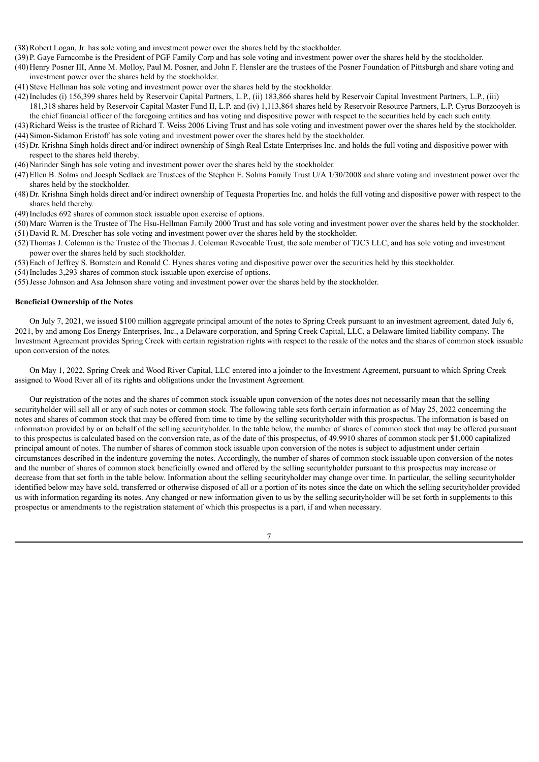- (38)Robert Logan, Jr. has sole voting and investment power over the shares held by the stockholder.
- (39)P. Gaye Farncombe is the President of PGF Family Corp and has sole voting and investment power over the shares held by the stockholder.
- (40)Henry Posner III, Anne M. Molloy, Paul M. Posner, and John F. Hensler are the trustees of the Posner Foundation of Pittsburgh and share voting and investment power over the shares held by the stockholder.
- (41)Steve Hellman has sole voting and investment power over the shares held by the stockholder.
- (42)Includes (i) 156,399 shares held by Reservoir Capital Partners, L.P., (ii) 183,866 shares held by Reservoir Capital Investment Partners, L.P., (iii) 181,318 shares held by Reservoir Capital Master Fund II, L.P. and (iv) 1,113,864 shares held by Reservoir Resource Partners, L.P. Cyrus Borzooyeh is the chief financial officer of the foregoing entities and has voting and dispositive power with respect to the securities held by each such entity.
- (43)Richard Weiss is the trustee of Richard T. Weiss 2006 Living Trust and has sole voting and investment power over the shares held by the stockholder. (44)Simon-Sidamon Eristoff has sole voting and investment power over the shares held by the stockholder.
- (45)Dr. Krishna Singh holds direct and/or indirect ownership of Singh Real Estate Enterprises Inc. and holds the full voting and dispositive power with respect to the shares held thereby.
- (46)Narinder Singh has sole voting and investment power over the shares held by the stockholder.
- (47)Ellen B. Solms and Joesph Sedlack are Trustees of the Stephen E. Solms Family Trust U/A 1/30/2008 and share voting and investment power over the shares held by the stockholder.
- (48)Dr. Krishna Singh holds direct and/or indirect ownership of Tequesta Properties Inc. and holds the full voting and dispositive power with respect to the shares held thereby.
- (49)Includes 692 shares of common stock issuable upon exercise of options.
- (50)Marc Warren is the Trustee of The Hsu-Hellman Family 2000 Trust and has sole voting and investment power over the shares held by the stockholder. (51)David R. M. Drescher has sole voting and investment power over the shares held by the stockholder.
- (52)Thomas J. Coleman is the Trustee of the Thomas J. Coleman Revocable Trust, the sole member of TJC3 LLC, and has sole voting and investment power over the shares held by such stockholder.
- (53)Each of Jeffrey S. Bornstein and Ronald C. Hynes shares voting and dispositive power over the securities held by this stockholder.
- (54)Includes 3,293 shares of common stock issuable upon exercise of options.
- (55)Jesse Johnson and Asa Johnson share voting and investment power over the shares held by the stockholder.

### **Beneficial Ownership of the Notes**

On July 7, 2021, we issued \$100 million aggregate principal amount of the notes to Spring Creek pursuant to an investment agreement, dated July 6, 2021, by and among Eos Energy Enterprises, Inc., a Delaware corporation, and Spring Creek Capital, LLC, a Delaware limited liability company. The Investment Agreement provides Spring Creek with certain registration rights with respect to the resale of the notes and the shares of common stock issuable upon conversion of the notes.

On May 1, 2022, Spring Creek and Wood River Capital, LLC entered into a joinder to the Investment Agreement, pursuant to which Spring Creek assigned to Wood River all of its rights and obligations under the Investment Agreement.

Our registration of the notes and the shares of common stock issuable upon conversion of the notes does not necessarily mean that the selling securityholder will sell all or any of such notes or common stock. The following table sets forth certain information as of May 25, 2022 concerning the notes and shares of common stock that may be offered from time to time by the selling securityholder with this prospectus. The information is based on information provided by or on behalf of the selling securityholder. In the table below, the number of shares of common stock that may be offered pursuant to this prospectus is calculated based on the conversion rate, as of the date of this prospectus, of 49.9910 shares of common stock per \$1,000 capitalized principal amount of notes. The number of shares of common stock issuable upon conversion of the notes is subject to adjustment under certain circumstances described in the indenture governing the notes. Accordingly, the number of shares of common stock issuable upon conversion of the notes and the number of shares of common stock beneficially owned and offered by the selling securityholder pursuant to this prospectus may increase or decrease from that set forth in the table below. Information about the selling securityholder may change over time. In particular, the selling securityholder identified below may have sold, transferred or otherwise disposed of all or a portion of its notes since the date on which the selling securityholder provided us with information regarding its notes. Any changed or new information given to us by the selling securityholder will be set forth in supplements to this prospectus or amendments to the registration statement of which this prospectus is a part, if and when necessary.